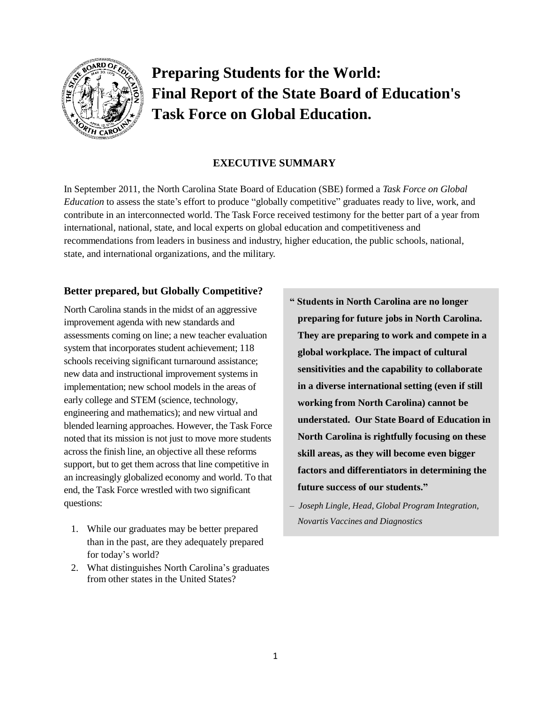

# **Preparing Students for the World: Final Report of the State Board of Education's Task Force on Global Education.**

# **EXECUTIVE SUMMARY**

In September 2011, the North Carolina State Board of Education (SBE) formed a *Task Force on Global Education* to assess the state's effort to produce "globally competitive" graduates ready to live, work, and contribute in an interconnected world. The Task Force received testimony for the better part of a year from international, national, state, and local experts on global education and competitiveness and recommendations from leaders in business and industry, higher education, the public schools, national, state, and international organizations, and the military.

# **Better prepared, but Globally Competitive?**

North Carolina stands in the midst of an aggressive improvement agenda with new standards and assessments coming on line; a new teacher evaluation system that incorporates student achievement; 118 schools receiving significant turnaround assistance; new data and instructional improvement systems in implementation; new school models in the areas of early college and STEM (science, technology, engineering and mathematics); and new virtual and blended learning approaches. However, the Task Force noted that its mission is not just to move more students across the finish line, an objective all these reforms support, but to get them across that line competitive in an increasingly globalized economy and world. To that end, the Task Force wrestled with two significant questions:

- 1. While our graduates may be better prepared than in the past, are they adequately prepared for today's world?
- 2. What distinguishes North Carolina's graduates from other states in the United States?
- **" Students in North Carolina are no longer preparing for future jobs in North Carolina. They are preparing to work and compete in a global workplace. The impact of cultural sensitivities and the capability to collaborate in a diverse international setting (even if still working from North Carolina) cannot be understated. Our State Board of Education in North Carolina is rightfully focusing on these skill areas, as they will become even bigger factors and differentiators in determining the future success of our students."**
- *– Joseph Lingle, Head, Global Program Integration, Novartis Vaccines and Diagnostics*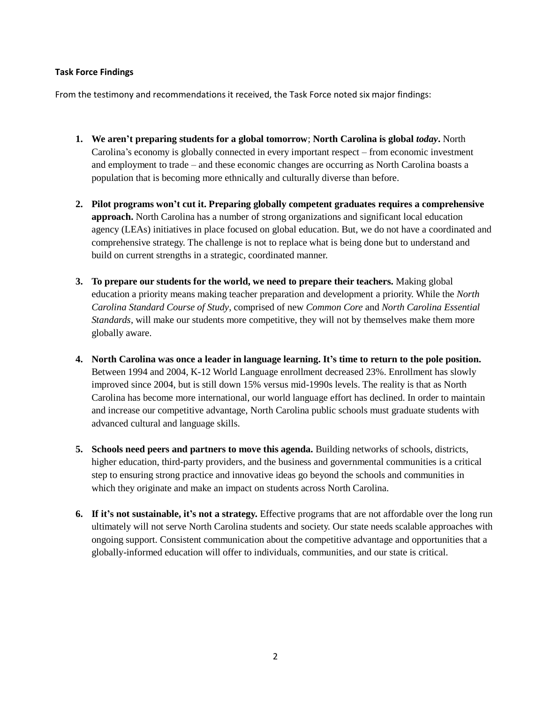## **Task Force Findings**

From the testimony and recommendations it received, the Task Force noted six major findings:

- **1. We aren't preparing students for a global tomorrow**; **North Carolina is global** *today***.** North Carolina's economy is globally connected in every important respect – from economic investment and employment to trade – and these economic changes are occurring as North Carolina boasts a population that is becoming more ethnically and culturally diverse than before.
- **2. Pilot programs won't cut it. Preparing globally competent graduates requires a comprehensive approach.** North Carolina has a number of strong organizations and significant local education agency (LEAs) initiatives in place focused on global education. But, we do not have a coordinated and comprehensive strategy. The challenge is not to replace what is being done but to understand and build on current strengths in a strategic, coordinated manner.
- **3. To prepare our students for the world, we need to prepare their teachers.** Making global education a priority means making teacher preparation and development a priority. While the *North Carolina Standard Course of Study*, comprised of new *Common Core* and *North Carolina Essential Standards*, will make our students more competitive, they will not by themselves make them more globally aware.
- **4. North Carolina was once a leader in language learning. It's time to return to the pole position.**  Between 1994 and 2004, K-12 World Language enrollment decreased 23%. Enrollment has slowly improved since 2004, but is still down 15% versus mid-1990s levels. The reality is that as North Carolina has become more international, our world language effort has declined. In order to maintain and increase our competitive advantage, North Carolina public schools must graduate students with advanced cultural and language skills.
- **5. Schools need peers and partners to move this agenda.** Building networks of schools, districts, higher education, third-party providers, and the business and governmental communities is a critical step to ensuring strong practice and innovative ideas go beyond the schools and communities in which they originate and make an impact on students across North Carolina.
- **6. If it's not sustainable, it's not a strategy.** Effective programs that are not affordable over the long run ultimately will not serve North Carolina students and society. Our state needs scalable approaches with ongoing support. Consistent communication about the competitive advantage and opportunities that a globally-informed education will offer to individuals, communities, and our state is critical.